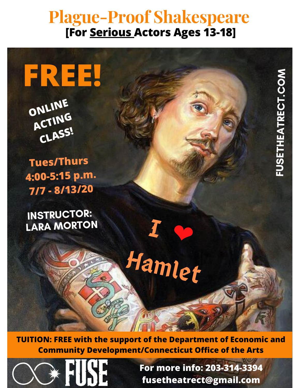## **Plague-Proof Shakespeare [For Serious Actors Ages 13-18]**

**FREE!**

**ONLINE ACTING CLASS!**

**Tues/Thurs 4:00-5:15 p.m. 7/7 - 8/13/20**

INSTRUCTOR: LARA MORTON

**TUITION: FREE with the support of the Department of Economic and Community Development/Connecticut Office of the Arts**

 $I \circ$ 

Hamlet



**For more info: 203-314-3394 fusetheatrect@gmail.com**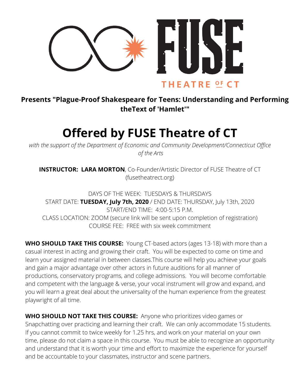

## **Presents "Plague-Proof Shakespeare for Teens: Understanding and Performing theText of 'Hamlet'"**

## **Offered by FUSE Theatre of CT**

*with the support of the Department of Economic and Community Development/Connecticut Office of the Arts*

**INSTRUCTOR: LARA MORTON**, Co-Founder/Artistic Director of FUSE Theatre of CT (fusetheatrect.org)

DAYS OF THE WEEK: TUESDAYS & THURSDAYS START DATE: **TUESDAY, July 7th, 2020** / END DATE: THURSDAY, July 13th, 2020 START/END TIME: 4:00-5:15 P.M. CLASS LOCATION: ZOOM (secure link will be sent upon completion of registration) COURSE FEE: FREE with six week commitment

**WHO SHOULD TAKE THIS COURSE:** Young CT-based actors (ages 13-18) with more than a casual interest in acting and growing their craft. You will be expected to come on time and learn your assigned material in between classes.This course will help you achieve your goals and gain a major advantage over other actors in future auditions for all manner of productions, conservatory programs, and college admissions. You will become comfortable and competent with the language & verse, your vocal instrument will grow and expand, and you will learn a great deal about the universality of the human experience from the greatest playwright of all time.

**WHO SHOULD NOT TAKE THIS COURSE:** Anyone who prioritizes video games or Snapchatting over practicing and learning their craft. We can only accommodate 15 students. If you cannot commit to twice weekly for 1.25 hrs, and work on your material on your own time, please do not claim a space in this course. You must be able to recognize an opportunity and understand that it is worth your time and effort to maximize the experience for yourself and be accountable to your classmates, instructor and scene partners.